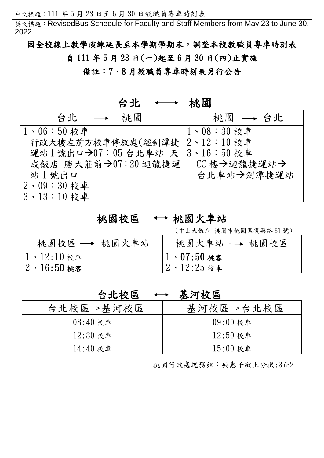中文標題:111 年 5 月 23 日至 6 月 30 日教職員專車時刻表

英文標題: RevisedBus Schedule for Faculty and Staff Members from May 23 to June 30, 2022

因全校線上教學演練延長至本學期學期末,調整本校教職員專車時刻表 自 111 年 5 月 23 日(一)起至 6 月 30 日(四)止實施

備註:7、8 月教職員專車時刻表另行公告

| 台北                            | 桃園                   |
|-------------------------------|----------------------|
| 桃園<br>台北<br>$\longrightarrow$ | 桃園 → 台北              |
| $1 \cdot 06:50$ 校車            | $1 \cdot 08 : 30$ 校車 |
| 行政大樓左前方校車停放處(經劍潭捷             | $2 \cdot 12 : 10$ 校車 |
| 運站1號出口→07:05台北車站-天            | $ 3 \cdot 16:50$ 校車  |
| 成飯店-勝大莊前→07:20 迴龍捷運           | CC樓→迴龍捷運站→           |
| 站1號出口                         | 台北車站→劍潭捷運站           |
| $2 \cdot 09 : 30$ 校車          |                      |
| 3、13:10校車                     |                      |

## 桃園校區 → 桃園火車站

(中山大飯店-桃園市桃園區復興路 81 號)

| 桃園校區 ─ 桃園火車站        | 桃園火車站 → 桃園校區        |
|---------------------|---------------------|
| 1、12:10校車           | $1 \cdot 07:50$ 桃客  |
| $12 \cdot 16:50$ 桃客 | $ 2 \cdot 12:25$ 校車 |

## 台北校區 ← 基河校區

| 台北校區→基河校區  | 基河校區→台北校區  |
|------------|------------|
| $08:40*$   | $09:00$ 校車 |
| $12:30$ 校車 | $12:50$ 校車 |
| $14:40$ 校車 | $15:00$ 校車 |

桃園行政處總務組:吳惠子敬上分機:3732